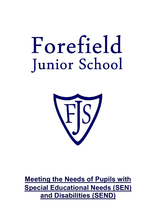# Forefield Junior School



**Meeting the Needs of Pupils with Special Educational Needs (SEN) and Disabilities (SEND)**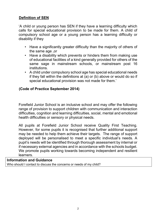# **Definition of SEN**

'A child or young person has SEN if they have a learning difficulty which calls for special educational provision to be made for them. A child of compulsory school age or a young person has a learning difficulty or disability if they

- Have a significantly greater difficulty than the majority of others of the same age ,or
- Have a disability which prevents or hinders them from making use of educational facilities of a kind generally provided for others of the same sage in mainstream schools, or mainstream post 16 institutions.
- A child under compulsory school age has special educational needs if they fall within the definitions at (a) or (b) above or would do so if special educational provision was not made for them.'

# **(Code of Practice September 2014)**

Forefield Junior School is an inclusive school and may offer the following range of provision to support children with communication and interaction difficulties, cognition and learning difficulties, social, mental and emotional health difficulties or sensory or physical needs.

All pupils at Forefield Junior School receive Quality First Teaching. However, for some pupils it is recognised that further additional support may be needed to help them achieve their targets. The range of support deployed will be personalised to meet a specific individual's needs. A pupil's needs will be identified through thorough assessment by internal or if necessary external agencies and in accordance with the schools budget. We promote pupils working towards becoming independent and resilient learners.

# **Information and Guidance**

Who should I contact to discuss the concerns or needs of my child?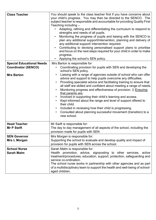| <b>Class Teacher</b><br><b>Special Educational Needs</b><br><b>Coordinator (SENCO)</b><br><b>Mrs Barton</b> | You should speak to the class teacher first if you have concerns about<br>your child's progress. You may then be directed to the SENCO. The<br>subject teacher is responsible and accountable for providing Quality First<br>Teaching including -<br>Adapting, refining and differentiating the curriculum to respond to<br>strengths and needs of all pupils.<br>Monitoring the progress of pupils and liaising with the SENCO to<br>$\bullet$<br>plan any additional support/intervention, planning and delivery of<br>any additional support/ intervention required.<br>Contributing to devising personalised support plans to prioritise<br>$\bullet$<br>and focus on the next steps required for your child in order to make<br>progress.<br>Applying the school's SEN policy.<br>Mrs Barton is responsible for<br>Coordinating provision for pupils with SEN and developing the<br>school's SEN policy.<br>Liaising with a range of agencies outside of school who can offer<br>advice and support to help pupils overcome any difficulties.<br>Providing specialist advice and facilitating training to ensure that<br>all staff are skilled and confident about meeting a range of needs.<br>Monitoring progress and effectiveness of provision. D Ensuring<br>that parents are:<br>Involved in supporting their child's learning and access.<br>$\bullet$<br>Kept informed about the range and level of support offered to<br>their child.<br>Included in reviewing how their child is progressing.<br>$\bullet$<br>Consulted about planning successful movement (transition) to a<br>$\bullet$<br>new school. |
|-------------------------------------------------------------------------------------------------------------|-------------------------------------------------------------------------------------------------------------------------------------------------------------------------------------------------------------------------------------------------------------------------------------------------------------------------------------------------------------------------------------------------------------------------------------------------------------------------------------------------------------------------------------------------------------------------------------------------------------------------------------------------------------------------------------------------------------------------------------------------------------------------------------------------------------------------------------------------------------------------------------------------------------------------------------------------------------------------------------------------------------------------------------------------------------------------------------------------------------------------------------------------------------------------------------------------------------------------------------------------------------------------------------------------------------------------------------------------------------------------------------------------------------------------------------------------------------------------------------------------------------------------------------------------------------------------------------------------------------------------|
| <b>Head Teacher</b><br><b>Mr P Swift</b>                                                                    | Mr Swift is responsible for:<br>The day to day management of all aspects of the school, including the<br>provision made for pupils with SEN                                                                                                                                                                                                                                                                                                                                                                                                                                                                                                                                                                                                                                                                                                                                                                                                                                                                                                                                                                                                                                                                                                                                                                                                                                                                                                                                                                                                                                                                             |
| <b>SEN Governor</b><br>Mrs L Morgan                                                                         | Mrs Morgan is responsible for:<br>Supporting the school to evaluate and develop quality and impact of<br>provision for pupils with SEN across the school.                                                                                                                                                                                                                                                                                                                                                                                                                                                                                                                                                                                                                                                                                                                                                                                                                                                                                                                                                                                                                                                                                                                                                                                                                                                                                                                                                                                                                                                               |
| <b>School Nurse</b><br><b>Sarah Malm</b>                                                                    | Sarah Malm is responsible for:<br>Health promotion, advice, signposting to other services, active<br>treatment/procedures, education, support, protection, safeguarding and<br>service co-ordination.<br>The school nurse works in partnership with other agencies and as part<br>of a multidisciplinary team to support the health and well-being of school-<br>aged children.                                                                                                                                                                                                                                                                                                                                                                                                                                                                                                                                                                                                                                                                                                                                                                                                                                                                                                                                                                                                                                                                                                                                                                                                                                         |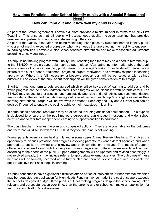# **How does Forefield Junior School identify pupils with a Special Educational Need?**

# **How can I find out about how well my child is doing?**

As part of the Sefton Agreement, Forefield Juniors provides a minimum offer in terms of Quality First Teaching. This ensures that all pupils will access good quality inclusive teaching that provides reasonable adjustments to accommodate learning difference.

As part of the Quality First Offer, on-going monitoring takes place by class teachers to identify pupils who are not making expected progress or who have needs that are affecting their ability to engage in in learning activities. Forefield Junior School teachers differentiate and make reasonable adjustments according to individual need.

If a pupil is not making progress with Quality First Teaching then there may be a need to refer the pupil to the SENCO, where a support plan can be put in place. After gathering information about the pupil from a variety of sources (teacher, pupil, parent, outside agencies) in order to develop an accurate picture of the pupils' needs, attainment, projected targets, motivators, and how they respond to teaching approaches. Where it is felt necessary, a bespoke support plan will be put together with defined outcomes. The views of the pupil about their support will be given consideration at this stage.

Short-term and long term targets are agreed which prioritise key areas of learning to address and by which progress can be measured/monitored. These targets will be discussed with parents/carers. The SENCO may request further assessment from outside agencies and their advice and recommendations are included in the support plan. Actions agreed take into account each pupil's strengths as well as their learning differences. Targets will be reviewed in October, February and July and a further plan can be devised if required to enable the pupil to achieve their next steps in learning.

In some cases additional resources may be allocated including additional adult support. This support is deployed to ensure that the pupil makes progress and can engage in lessons and wider school activities and to facilitate independent learning to support transition to adulthood.

The class teacher manages the plan and suggested actions. They are accountable for the outcomes and therefore will discuss with the SENCO if they feel the plan is not working.

Formal parents' evenings are held termly and in some cases Annual Review Meetings. This gives the opportunity to discuss provision and progress involving parents, relevant external agencies and when appropriate, pupils are invited to this review and their contribution is valued. The impact of support offered is considered along with the progress towards targets set. Different assessments will be used according to the needs of the pupil. Support arrangements will be updated and revised accordingly. If not involved already, this may include referral to appropriate external agencies. The outcomes of these meetings will be formally recorded and a further plan can then be devised, if required, to enable the pupil to achieve their next steps in learning.

If a pupil continues to have significant difficulties after a period of intervention, further external expertise may be requested. An application for High Needs Funding may be made if the cost of support exceeds the school's delegated budget. If the pupil is still not making progress despite the school having taken relevant and purposeful action over time, then the parents and or school can make an application for an Education Health Care Assessment.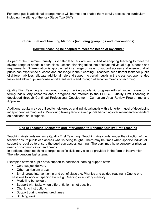For some pupils additional arrangements will be made to enable them to fully access the curriculum including the sitting of the Key Stage Two SATs.

# **Curriculum and Teaching Methods (including groupings and interventions)**

## **How will teaching be adapted to meet the needs of my child?**

As part of the minimum Quality First Offer teachers are well skilled at adapting teaching to meet the diverse range of needs in each class. Lesson planning takes into account individual pupil's needs and requirements. Differentiation is approached in a range of ways to support access and ensure that all pupils can experience success and challenge in their learning. Teachers set different tasks for pupils of different abilities; allocate additional help and support to certain pupils in the class, set open ended tasks and allow pupil response at different levels and through alternative means of recording.

Quality First Teaching is monitored through tracking academic progress with all subject areas on a termly basis. Any concerns about progress are referred to the SENCO. Quality First Teaching is developed through Continual Professional Development, Curriculum Area Review Programme and Appraisal.

Additional adults may be utilised to help groups and individual pupils with a long-term goal of developing independent learning skills. Monitoring takes place to avoid pupils becoming over reliant and dependent on additional adult support.

## **Use of Teaching Assistants and Intervention to Enhance Quality First Teaching**

Teaching Assistants enhance Quality First Teaching. Teaching Assistants, under the direction of the teacher ensure pupils can access what is being taught. There may be times when specific individual support is required to ensure the pupil can access learning. The pupil may have sensory or physical needs or communication and needs.

In addition, direct teaching to target specific skills may also be provided in the form of intervention. The interventions last a term.

Examples of when pupils have support to additional learning support staff:

• Core subject delivery

.

Other curriculum areas

Small group intervention in and out of class e.g. Phonics and guided reading  $\Box$  One to one sessions to work on specific skills e.g. Reading or auditory memory.

- Modelling behaviours
- Support with tasks when differentiation is not possible
- Chunking instructions
- Support during unstructured times
- Scribing work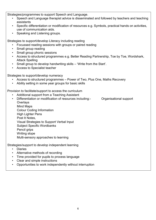Strategies/programmes to support Speech and Language. • Speech and Language therapist advice is disseminated and followed by teachers and teaching assistants • Specific differentiation or modification of resources e.g. Symbols, practical hands on activities, use of communication aids. Speaking and Listening groups. Strategies to support/develop Literacy including reading • Focussed reading sessions with groups or paired reading • Small group reading • Small group phonic sessions • Access to structured programmes e.g. Better Reading Partnership, Toe by Toe, Wordshark, Attack Spelling • Small group to develop handwriting skills – 'Write from the Start'. • Access to Specialist teacher Strategies to support/develop numeracy • Access to structured programmes – Power of Two, Plus One, Maths Recovery Ability setting in some year groups for basic skills Provision to facilitate/support to access the curriculum • Additional support from a Teaching Assistant • Differentiation or modification of resources including:- Organisational support **Overlays**  Mind Maps Colour Coding Information High Lighter Pens Post It Notes, Visual Strategies to Support Verbal Input Subject Specific Wordbanks Pencil grips Writing slope Multi-sensory approaches to learning Strategies/support to develop independent learning

- Diaries
- Alternative methods of recording
- Time provided for pupils to process language
- Clear and simple instructions
- Opportunities to work independently without interruption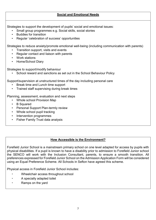#### **Social and Emotional Needs**

Strategies to support the development of pupils' social and emotional issues:

- Small group programmes e.g. Social skills, social stories
- Buddies for transition
- Regular 'celebration of success' opportunities

Strategies to reduce anxiety/promote emotional well-being (including communication with parents)

- Transition support, visits and events
- Regular contact and liaison with parents
- Work stations
- Home/School Diary

Strategies to support/modify behaviour

• School reward and sanctions as set out in the School Behaviour Policy

Support/supervision at unstructured times of the day including personal care

- Break time and Lunch time support
- Trained staff supervising during break times

Planning, assessment, evaluation and next steps

- Whole school Provision Map
- B Squared
- Personal Support Plan-termly review
- Whole school pupil tracking
- Intervention programmes
- Fisher Family Trust data analysis

## **How Accessible is the Environment?**

Forefield Junior School is a mainstream primary school on one level adapted for access by pupils with physical disabilities. If a pupil is known to have a disability prior to admission to Forefield Junior school the SENCO will work with the Inclusion Consultant, parents, to ensure a smooth transition. All preferences expressed for Forefield Junior School on the Admission Application Form will be considered using an Equal Preference Scheme. All Schools in Sefton have agreed this scheme.

Physical access in Forefield Junior School includes:

- Wheelchair access throughout school
- A specially adapted toilet
- Ramps on the yard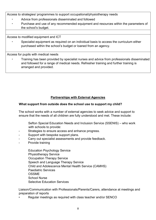Access to strategies/ programmes to support occupational/physiotherapy needs

- Advice from professionals disseminated and followed
- Purchase and use of any recommended equipment and resources within the parameters of the school's budget.

Access to modified equipment and ICT

• Specialist equipment as required on an individual basis to access the curriculum either purchased within the school's budget or loaned from an agency.

Access for pupils with medical needs

• Training has been provided by specialist nurses and advice from professionals disseminated and followed for a range of medical needs. Refresher training and further training is arranged and provided.

# **Partnerships with External Agencies**

## **What support from outside does the school use to support my child?**

The school works with a number of external agencies to seek advice and support to ensure that the needs of all children are fully understood and met. These include:

Sefton Special Education Needs and Inclusion Service (SSENIS) – who work with schools to provide:

- Strategies to ensure access and enhance progress.
- Support with bespoke support plans.
- Carry out specialist assessments and provide feedback.
- Provide training

 Education Psychology Service Physiotherapy Service Occupation Therapy Service Speech and Language Therapy Service Child and Adolescence Mental Health Service (CAMHS) Paediatric Services OSSME School Nurse Selective Education Services

Liaison/Communication with Professionals/Parents/Carers, attendance at meetings and preparation of reports

• Regular meetings as required with class teacher and/or SENCO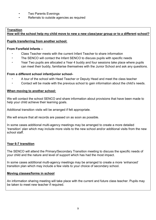- Two Parents Evenings
- Referrals to outside agencies as required

#### **Transition How will the school help my child move to new a new class/year group or to a different school?**

#### **Pupils transferring from another school:**

#### **From Forefield Infants –**

- Class Teacher meets with the current Infant Teacher to share information
- The SENCO will contact the Infant SENCO to discuss pupils with specific needs
- Year Two pupils are allocated a Year 4 buddy and four sessions take place where pupils can meet their buddy, familiarise themselves with the Junior School and ask any questions.

#### **From a different school infant/junior school-**

- A tour of the school with Head Teacher or Deputy Head and meet the class teacher
- Contact will be made with the previous school to gain information about the child's needs.

#### **When moving to another school:**

We will contact the school SENCO and share information about provisions that have been made to help your child achieve their learning goals.

Additional transition visits will be arranged if felt appropriate.

We will ensure that all records are passed on as soon as possible.

In some cases additional multi-agency meetings may be arranged to create a more detailed 'transition' plan which may include more visits to the new school and/or additional visits from the new school staff.

## **Year 6-7 transition**

The SENCO will attend the Primary/Secondary Transition meeting to discuss the specific needs of your child and the nature and level of support which has had the most impact.

In some cases additional multi-agency meetings may be arranged to create a more 'enhanced' transition plan which may include a few visits to your choice of secondary school.

#### **Moving classes/forms in school**

An information sharing meeting will take place with the current and future class teacher. Pupils may be taken to meet new teacher if required.